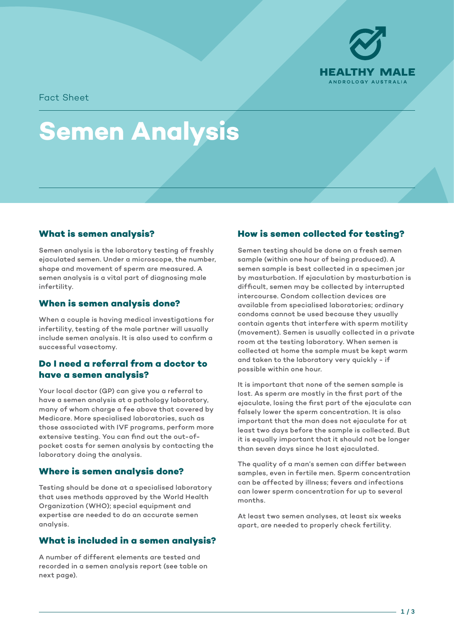

Fact Sheet

# **Semen Analysis**

# **What is semen analysis?**

Semen analysis is the laboratory testing of freshly ejaculated semen. Under a microscope, the number, shape and movement of sperm are measured. A semen analysis is a vital part of diagnosing male infertility.

## **When is semen analysis done?**

When a couple is having medical investigations for infertility, testing of the male partner will usually include semen analysis. It is also used to confirm a successful vasectomy.

## **Do I need a referral from a doctor to have a semen analysis?**

Your local doctor (GP) can give you a referral to have a semen analysis at a pathology laboratory, many of whom charge a fee above that covered by Medicare. More specialised laboratories, such as those associated with IVF programs, perform more extensive testing. You can find out the out-ofpocket costs for semen analysis by contacting the laboratory doing the analysis.

## **Where is semen analysis done?**

Testing should be done at a specialised laboratory that uses methods approved by the World Health Organization (WHO); special equipment and expertise are needed to do an accurate semen analysis.

# **What is included in a semen analysis?**

A number of different elements are tested and recorded in a semen analysis report (see table on next page).

# **How is semen collected for testing?**

Semen testing should be done on a fresh semen sample (within one hour of being produced). A semen sample is best collected in a specimen jar by masturbation. If ejaculation by masturbation is difficult, semen may be collected by interrupted intercourse. Condom collection devices are available from specialised laboratories; ordinary condoms cannot be used because they usually contain agents that interfere with sperm motility (movement). Semen is usually collected in a private room at the testing laboratory. When semen is collected at home the sample must be kept warm and taken to the laboratory very quickly - if possible within one hour.

It is important that none of the semen sample is lost. As sperm are mostly in the first part of the ejaculate, losing the first part of the ejaculate can falsely lower the sperm concentration. It is also important that the man does not ejaculate for at least two days before the sample is collected. But it is equally important that it should not be longer than seven days since he last ejaculated.

The quality of a man's semen can differ between samples, even in fertile men. Sperm concentration can be affected by illness; fevers and infections can lower sperm concentration for up to several months.

At least two semen analyses, at least six weeks apart, are needed to properly check fertility.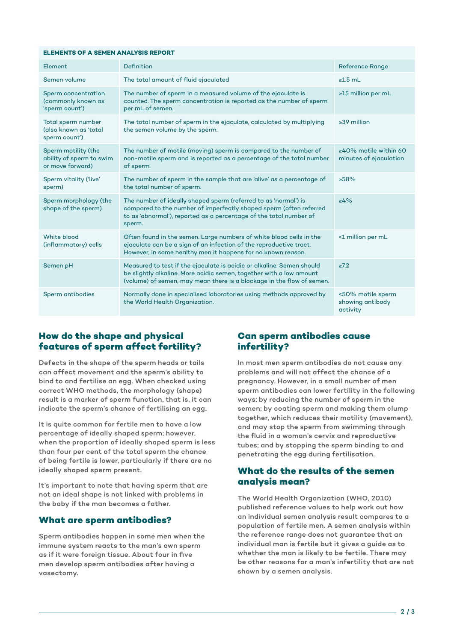#### **ELEMENTS OF A SEMEN ANALYSIS REPORT**

| Element                                                             | Definition                                                                                                                                                                                                            | <b>Reference Range</b>                                 |
|---------------------------------------------------------------------|-----------------------------------------------------------------------------------------------------------------------------------------------------------------------------------------------------------------------|--------------------------------------------------------|
| Semen volume                                                        | The total amount of fluid ejaculated                                                                                                                                                                                  | $\geq 1.5$ mL                                          |
| Sperm concentration<br>(commonly known as<br>'sperm count')         | The number of sperm in a measured volume of the ejaculate is<br>counted. The sperm concentration is reported as the number of sperm<br>per mL of semen.                                                               | ≥15 million per mL                                     |
| Total sperm number<br>(also known as 'total<br>sperm count')        | The total number of sperm in the ejaculate, calculated by multiplying<br>the semen volume by the sperm.                                                                                                               | $\geq$ 39 million                                      |
| Sperm motility (the<br>ability of sperm to swim<br>or move forward) | The number of motile (moving) sperm is compared to the number of<br>non-motile sperm and is reported as a percentage of the total number<br>of sperm.                                                                 | $\geq 40\%$ motile within 60<br>minutes of ejaculation |
| Sperm vitality ('live'<br>sperm)                                    | The number of sperm in the sample that are 'alive' as a percentage of<br>the total number of sperm.                                                                                                                   | >58%                                                   |
| Sperm morphology (the<br>shape of the sperm)                        | The number of ideally shaped sperm (referred to as 'normal') is<br>compared to the number of imperfectly shaped sperm (often referred<br>to as 'abnormal'), reported as a percentage of the total number of<br>sperm. | $\geq 4\%$                                             |
| White blood<br>(inflammatory) cells                                 | Often found in the semen. Large numbers of white blood cells in the<br>ejaculate can be a sign of an infection of the reproductive tract.<br>However, in some healthy men it happens for no known reason.             | <1 million per mL                                      |
| Semen pH                                                            | Measured to test if the ejaculate is acidic or alkaline. Semen should<br>be slightly alkaline. More acidic semen, together with a low amount<br>(volume) of semen, may mean there is a blockage in the flow of semen. | $\geq 7.2$                                             |
| Sperm antibodies                                                    | Normally done in specialised laboratories using methods approved by<br>the World Health Organization.                                                                                                                 | <50% motile sperm<br>showing antibody<br>activity      |

## **How do the shape and physical features of sperm affect fertility?**

Defects in the shape of the sperm heads or tails can affect movement and the sperm's ability to bind to and fertilise an egg. When checked using correct WHO methods, the morphology (shape) result is a marker of sperm function, that is, it can indicate the sperm's chance of fertilising an egg.

It is quite common for fertile men to have a low percentage of ideally shaped sperm; however, when the proportion of ideally shaped sperm is less than four per cent of the total sperm the chance of being fertile is lower, particularly if there are no ideally shaped sperm present.

It's important to note that having sperm that are not an ideal shape is not linked with problems in the baby if the man becomes a father.

## **What are sperm antibodies?**

Sperm antibodies happen in some men when the immune system reacts to the man's own sperm as if it were foreign tissue. About four in five men develop sperm antibodies after having a vasectomy.

## **Can sperm antibodies cause infertility?**

In most men sperm antibodies do not cause any problems and will not affect the chance of a pregnancy. However, in a small number of men sperm antibodies can lower fertility in the following ways: by reducing the number of sperm in the semen; by coating sperm and making them clump together, which reduces their motility (movement), and may stop the sperm from swimming through the fluid in a woman's cervix and reproductive tubes; and by stopping the sperm binding to and penetrating the egg during fertilisation.

## **What do the results of the semen analysis mean?**

The World Health Organization (WHO, 2010) published reference values to help work out how an individual semen analysis result compares to a population of fertile men. A semen analysis within the reference range does not guarantee that an individual man is fertile but it gives a guide as to whether the man is likely to be fertile. There may be other reasons for a man's infertility that are not shown by a semen analysis.